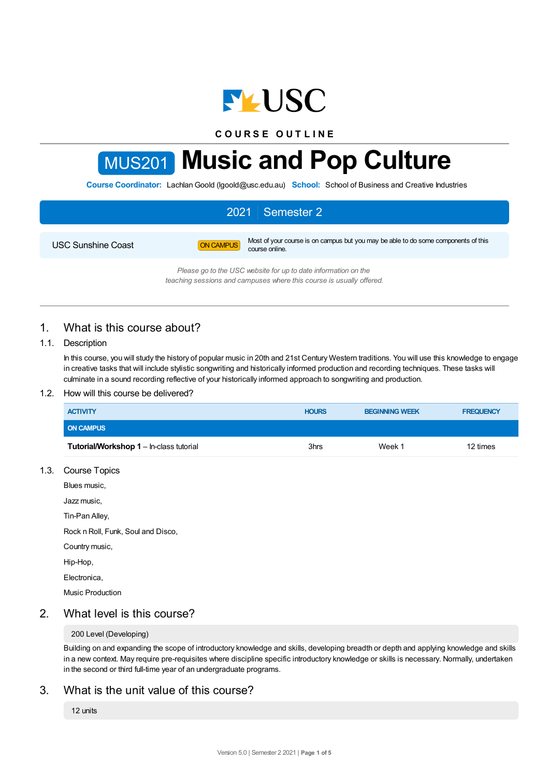

**C O U R S E O U T L I N E**

# MUS201 **Music and Pop Culture**

**Course Coordinator:** Lachlan Goold (lgoold@usc.edu.au) School: School of Business and Creative Industries

# 2021 Semester 2

USC Sunshine Coast **ON CAMPUS** Most of your course is on campus but you may be able to do some components of this course online.

*Please go to the USC website for up to date information on the*

*teaching sessions and campuses where this course is usually offered.*

# 1. What is this course about?

## 1.1. Description

In this course, you will study the history of popular music in 20th and 21st Century Western traditions. You will use this knowledge to engage in creative tasks that will include stylistic songwriting and historically informed production and recording techniques. These tasks will culminate in a sound recording reflective of your historically informed approach to songwriting and production.

#### 1.2. How will this course be delivered?

| <b>ACTIVITY</b>                                | <b>HOURS</b> | <b>BEGINNING WEEK</b> | <b>FREQUENCY</b> |
|------------------------------------------------|--------------|-----------------------|------------------|
| <b>ON CAMPUS</b>                               |              |                       |                  |
| <b>Tutorial/Workshop 1 – In-class tutorial</b> | 3hrs         | Week 1                | 12 times         |

1.3. Course Topics

Blues music,

Jazz music,

Tin-Pan Alley,

Rock n Roll, Funk, Soul and Disco,

- Country music,
- Hip-Hop,

Electronica,

Music Production

# 2. What level is this course?

#### 200 Level (Developing)

Building on and expanding the scope of introductory knowledge and skills, developing breadth or depth and applying knowledge and skills in a new context. May require pre-requisites where discipline specific introductory knowledge or skills is necessary. Normally, undertaken in the second or third full-time year of an undergraduate programs.

# 3. What is the unit value of this course?

12 units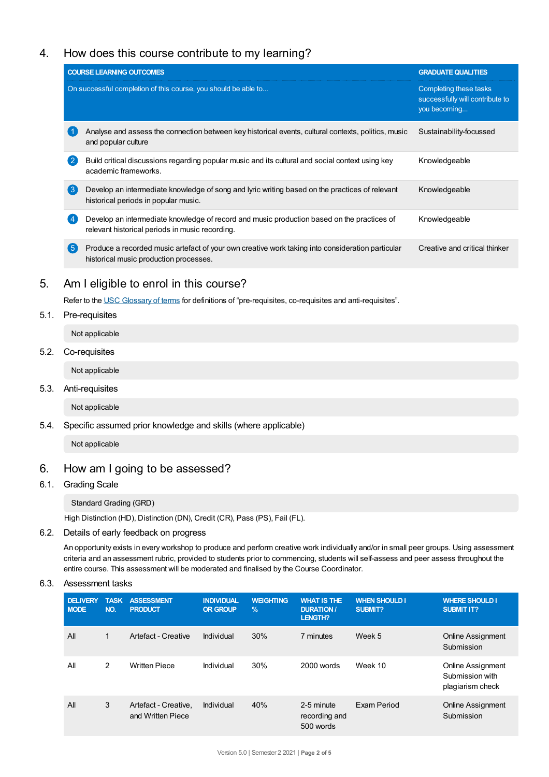# 4. How does this course contribute to my learning?

|     | <b>COURSE LEARNING OUTCOMES</b>                                                                                                               | <b>GRADUATE QUALITIES</b>                                                 |
|-----|-----------------------------------------------------------------------------------------------------------------------------------------------|---------------------------------------------------------------------------|
|     | On successful completion of this course, you should be able to                                                                                | Completing these tasks<br>successfully will contribute to<br>you becoming |
|     | Analyse and assess the connection between key historical events, cultural contexts, politics, music<br>and popular culture                    | Sustainability-focussed                                                   |
|     | Build critical discussions regarding popular music and its cultural and social context using key<br>academic frameworks.                      | Knowledgeable                                                             |
| 3   | Develop an intermediate knowledge of song and lyric writing based on the practices of relevant<br>historical periods in popular music.        | Knowledgeable                                                             |
|     | Develop an intermediate knowledge of record and music production based on the practices of<br>relevant historical periods in music recording. | Knowledgeable                                                             |
| 【5】 | Produce a recorded music artefact of your own creative work taking into consideration particular<br>historical music production processes.    | Creative and critical thinker                                             |

# 5. Am Ieligible to enrol in this course?

Refer to the USC [Glossary](https://www.usc.edu.au/about/policies-and-procedures/glossary-of-terms-for-policy-and-procedures) of terms for definitions of "pre-requisites, co-requisites and anti-requisites".

#### 5.1. Pre-requisites

Not applicable

## 5.2. Co-requisites

Not applicable

5.3. Anti-requisites

Not applicable

5.4. Specific assumed prior knowledge and skills (where applicable)

Not applicable

# 6. How am Igoing to be assessed?

### 6.1. Grading Scale

Standard Grading (GRD)

High Distinction (HD), Distinction (DN), Credit (CR), Pass (PS), Fail (FL).

## 6.2. Details of early feedback on progress

An opportunity exists in every workshop to produce and perform creative work individually and/or in small peer groups. Using assessment criteria and an assessment rubric, provided to students prior to commencing, students will self-assess and peer assess throughout the entire course. This assessment will be moderated and finalised by the Course Coordinator.

## 6.3. Assessment tasks

| <b>DELIVERY</b><br><b>MODE</b> | <b>TASK</b><br>NO. | <b>ASSESSMENT</b><br><b>PRODUCT</b>       | <b>INDIVIDUAL</b><br><b>OR GROUP</b> | <b>WEIGHTING</b><br>$\frac{9}{6}$ | <b>WHAT IS THE</b><br><b>DURATION /</b><br>LENGTH? | <b>WHEN SHOULD I</b><br><b>SUBMIT?</b> | <b>WHERE SHOULD I</b><br><b>SUBMIT IT?</b>               |
|--------------------------------|--------------------|-------------------------------------------|--------------------------------------|-----------------------------------|----------------------------------------------------|----------------------------------------|----------------------------------------------------------|
| All                            | 1                  | Artefact - Creative                       | Individual                           | 30%                               | 7 minutes                                          | Week 5                                 | <b>Online Assignment</b><br>Submission                   |
| All                            | 2                  | <b>Written Piece</b>                      | Individual                           | 30%                               | 2000 words                                         | Week 10                                | Online Assignment<br>Submission with<br>plagiarism check |
| All                            | 3                  | Artefact - Creative,<br>and Written Piece | Individual                           | 40%                               | 2-5 minute<br>recording and<br>500 words           | Exam Period                            | <b>Online Assignment</b><br>Submission                   |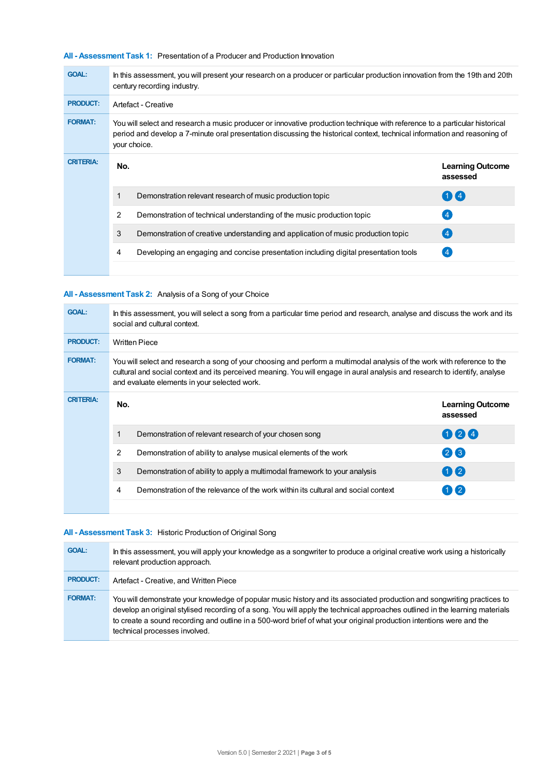#### **All - Assessment Task 1:** Presentation of a Producer and Production Innovation

| <b>GOAL:</b>     | In this assessment, you will present your research on a producer or particular production innovation from the 19th and 20th<br>century recording industry.                                                                                                              |                                                                                      |                                     |  |  |
|------------------|-------------------------------------------------------------------------------------------------------------------------------------------------------------------------------------------------------------------------------------------------------------------------|--------------------------------------------------------------------------------------|-------------------------------------|--|--|
| <b>PRODUCT:</b>  | Artefact - Creative                                                                                                                                                                                                                                                     |                                                                                      |                                     |  |  |
| <b>FORMAT:</b>   | You will select and research a music producer or innovative production technique with reference to a particular historical<br>period and develop a 7-minute oral presentation discussing the historical context, technical information and reasoning of<br>your choice. |                                                                                      |                                     |  |  |
| <b>CRITERIA:</b> | No.                                                                                                                                                                                                                                                                     |                                                                                      | <b>Learning Outcome</b><br>assessed |  |  |
|                  |                                                                                                                                                                                                                                                                         | Demonstration relevant research of music production topic                            | $(1)$ $(4)$                         |  |  |
|                  | 2                                                                                                                                                                                                                                                                       | Demonstration of technical understanding of the music production topic               | $\overline{4}$                      |  |  |
|                  | 3                                                                                                                                                                                                                                                                       | Demonstration of creative understanding and application of music production topic    | (4)                                 |  |  |
|                  | 4                                                                                                                                                                                                                                                                       | Developing an engaging and concise presentation including digital presentation tools |                                     |  |  |
|                  |                                                                                                                                                                                                                                                                         |                                                                                      |                                     |  |  |

## **All - Assessment Task 2:** Analysis of a Song of your Choice

| <b>GOAL:</b>     | In this assessment, you will select a song from a particular time period and research, analyse and discuss the work and its<br>social and cultural context.                                                                                                                                            |                                                                                   |                                     |  |  |
|------------------|--------------------------------------------------------------------------------------------------------------------------------------------------------------------------------------------------------------------------------------------------------------------------------------------------------|-----------------------------------------------------------------------------------|-------------------------------------|--|--|
| <b>PRODUCT:</b>  | <b>Written Piece</b>                                                                                                                                                                                                                                                                                   |                                                                                   |                                     |  |  |
| <b>FORMAT:</b>   | You will select and research a song of your choosing and perform a multimodal analysis of the work with reference to the<br>cultural and social context and its perceived meaning. You will engage in aural analysis and research to identify, analyse<br>and evaluate elements in your selected work. |                                                                                   |                                     |  |  |
| <b>CRITERIA:</b> | No.                                                                                                                                                                                                                                                                                                    |                                                                                   | <b>Learning Outcome</b><br>assessed |  |  |
|                  | 1                                                                                                                                                                                                                                                                                                      | Demonstration of relevant research of your chosen song                            | 024                                 |  |  |
|                  | 2                                                                                                                                                                                                                                                                                                      | Demonstration of ability to analyse musical elements of the work                  | $(2)$ $(3)$                         |  |  |
|                  | 3                                                                                                                                                                                                                                                                                                      | Demonstration of ability to apply a multimodal framework to your analysis         | 02                                  |  |  |
|                  | 4                                                                                                                                                                                                                                                                                                      | Demonstration of the relevance of the work within its cultural and social context | $1$ $\mathbf{I}$ 2                  |  |  |
|                  |                                                                                                                                                                                                                                                                                                        |                                                                                   |                                     |  |  |

## **All - Assessment Task 3:** Historic Production of Original Song

| <b>GOAL:</b>    | In this assessment, you will apply your knowledge as a songwriter to produce a original creative work using a historically<br>relevant production approach.                                                                                                                                                                                                                                                      |
|-----------------|------------------------------------------------------------------------------------------------------------------------------------------------------------------------------------------------------------------------------------------------------------------------------------------------------------------------------------------------------------------------------------------------------------------|
| <b>PRODUCT:</b> | Artefact - Creative, and Written Piece                                                                                                                                                                                                                                                                                                                                                                           |
| <b>FORMAT:</b>  | You will demonstrate your knowledge of popular music history and its associated production and songwriting practices to<br>develop an original stylised recording of a song. You will apply the technical approaches outlined in the learning materials<br>to create a sound recording and outline in a 500-word brief of what your original production intentions were and the<br>technical processes involved. |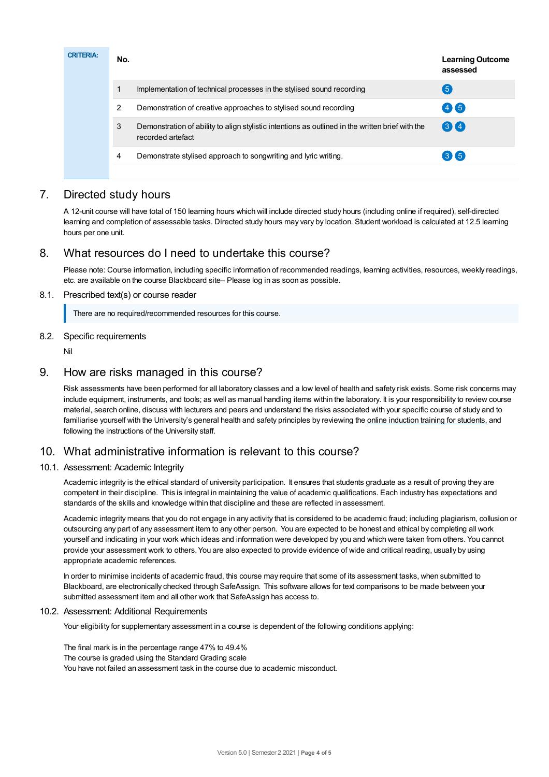| <b>CRITERIA:</b> | No. | <b>Learning Outcome</b><br>assessed                                                                                   |             |
|------------------|-----|-----------------------------------------------------------------------------------------------------------------------|-------------|
|                  | 1   | Implementation of technical processes in the stylised sound recording                                                 | $5^{\circ}$ |
|                  | 2   | Demonstration of creative approaches to stylised sound recording                                                      | 46          |
|                  | 3   | Demonstration of ability to align stylistic intentions as outlined in the written brief with the<br>recorded artefact | 34          |
|                  | 4   | Demonstrate stylised approach to songwriting and lyric writing.                                                       | 36          |
|                  |     |                                                                                                                       |             |

# 7. Directed study hours

A 12-unit course will have total of 150 learning hours which will include directed study hours (including online if required), self-directed learning and completion of assessable tasks. Directed study hours may vary by location. Student workload is calculated at 12.5 learning hours per one unit.

# 8. What resources do I need to undertake this course?

Please note: Course information, including specific information of recommended readings, learning activities, resources, weekly readings, etc. are available on the course Blackboard site– Please log in as soon as possible.

#### 8.1. Prescribed text(s) or course reader

There are no required/recommended resources for this course.

## 8.2. Specific requirements

Nil

## 9. How are risks managed in this course?

Risk assessments have been performed for all laboratory classes and a low level of health and safety risk exists. Some risk concerns may include equipment, instruments, and tools; as well as manual handling items within the laboratory. It is your responsibility to review course material, search online, discuss with lecturers and peers and understand the risks associated with your specific course of study and to familiarise yourself with the University's general health and safety principles by reviewing the online [induction](https://online.usc.edu.au/webapps/blackboard/content/listContentEditable.jsp?content_id=_632657_1&course_id=_14432_1) training for students, and following the instructions of the University staff.

# 10. What administrative information is relevant to this course?

## 10.1. Assessment: Academic Integrity

Academic integrity is the ethical standard of university participation. It ensures that students graduate as a result of proving they are competent in their discipline. This is integral in maintaining the value of academic qualifications. Each industry has expectations and standards of the skills and knowledge within that discipline and these are reflected in assessment.

Academic integrity means that you do not engage in any activity that is considered to be academic fraud; including plagiarism, collusion or outsourcing any part of any assessment item to any other person. You are expected to be honest and ethical by completing all work yourself and indicating in your work which ideas and information were developed by you and which were taken from others. You cannot provide your assessment work to others.You are also expected to provide evidence of wide and critical reading, usually by using appropriate academic references.

In order to minimise incidents of academic fraud, this course may require that some of its assessment tasks, when submitted to Blackboard, are electronically checked through SafeAssign. This software allows for text comparisons to be made between your submitted assessment item and all other work that SafeAssign has access to.

#### 10.2. Assessment: Additional Requirements

Your eligibility for supplementary assessment in a course is dependent of the following conditions applying:

The final mark is in the percentage range 47% to 49.4% The course is graded using the Standard Grading scale You have not failed an assessment task in the course due to academic misconduct.